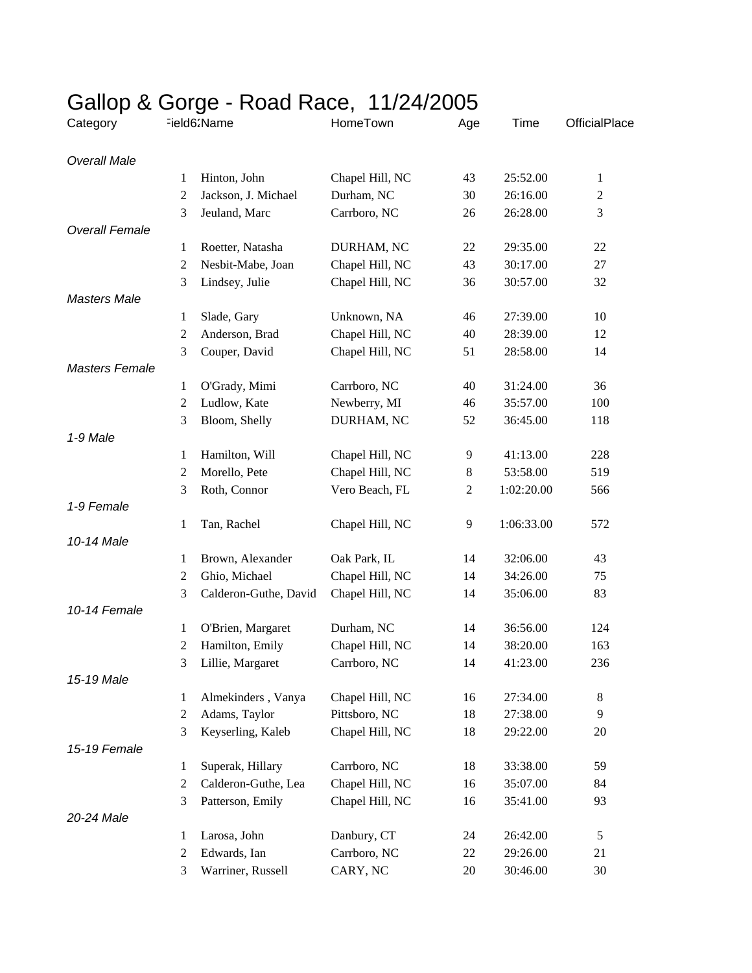| Category              | ر - -          | Field62Name           | HomeTown        | Age          | Time       | OfficialPlace |  |
|-----------------------|----------------|-----------------------|-----------------|--------------|------------|---------------|--|
| <b>Overall Male</b>   |                |                       |                 |              |            |               |  |
|                       | 1              | Hinton, John          | Chapel Hill, NC | 43           | 25:52.00   | $\mathbf{1}$  |  |
|                       | $\mathbf{2}$   | Jackson, J. Michael   | Durham, NC      | 30           | 26:16.00   | $\mathfrak 2$ |  |
|                       | 3              | Jeuland, Marc         | Carrboro, NC    | 26           | 26:28.00   | 3             |  |
| <b>Overall Female</b> |                |                       |                 |              |            |               |  |
|                       | 1              | Roetter, Natasha      | DURHAM, NC      | 22           | 29:35.00   | 22            |  |
|                       | 2              | Nesbit-Mabe, Joan     | Chapel Hill, NC | 43           | 30:17.00   | 27            |  |
|                       | 3              | Lindsey, Julie        | Chapel Hill, NC | 36           | 30:57.00   | 32            |  |
| <b>Masters Male</b>   |                |                       |                 |              |            |               |  |
|                       | $\mathbf{1}$   | Slade, Gary           | Unknown, NA     | 46           | 27:39.00   | 10            |  |
|                       | $\overline{c}$ | Anderson, Brad        | Chapel Hill, NC | 40           | 28:39.00   | 12            |  |
|                       | 3              | Couper, David         | Chapel Hill, NC | 51           | 28:58.00   | 14            |  |
| <b>Masters Female</b> |                |                       |                 |              |            |               |  |
|                       | 1              | O'Grady, Mimi         | Carrboro, NC    | 40           | 31:24.00   | 36            |  |
|                       | $\overline{2}$ | Ludlow, Kate          | Newberry, MI    | 46           | 35:57.00   | 100           |  |
|                       | 3              | Bloom, Shelly         | DURHAM, NC      | 52           | 36:45.00   | 118           |  |
| 1-9 Male              |                |                       |                 |              |            |               |  |
|                       | 1              | Hamilton, Will        | Chapel Hill, NC | 9            | 41:13.00   | 228           |  |
|                       | 2              | Morello, Pete         | Chapel Hill, NC | $\,8$        | 53:58.00   | 519           |  |
|                       | 3              | Roth, Connor          | Vero Beach, FL  | $\mathbf{2}$ | 1:02:20.00 | 566           |  |
| 1-9 Female            |                |                       |                 |              |            |               |  |
|                       | 1              | Tan, Rachel           | Chapel Hill, NC | 9            | 1:06:33.00 | 572           |  |
| 10-14 Male            |                |                       |                 |              |            |               |  |
|                       | 1              | Brown, Alexander      | Oak Park, IL    | 14           | 32:06.00   | 43            |  |
|                       | $\overline{c}$ | Ghio, Michael         | Chapel Hill, NC | 14           | 34:26.00   | 75            |  |
|                       | 3              | Calderon-Guthe, David | Chapel Hill, NC | 14           | 35:06.00   | 83            |  |
| 10-14 Female          |                |                       |                 |              |            |               |  |
|                       | 1              | O'Brien, Margaret     | Durham, NC      | 14           | 36:56.00   | 124           |  |
|                       | $\mathbf{2}$   | Hamilton, Emily       | Chapel Hill, NC | 14           | 38:20.00   | 163           |  |
|                       | 3              | Lillie, Margaret      | Carrboro, NC    | 14           | 41:23.00   | 236           |  |
| 15-19 Male            |                |                       |                 |              |            |               |  |
|                       | 1              | Almekinders, Vanya    | Chapel Hill, NC | 16           | 27:34.00   | $8\,$         |  |
|                       | $\overline{c}$ | Adams, Taylor         | Pittsboro, NC   | 18           | 27:38.00   | 9             |  |
|                       | 3              | Keyserling, Kaleb     | Chapel Hill, NC | 18           | 29:22.00   | 20            |  |
| 15-19 Female          |                |                       |                 |              |            |               |  |
|                       | 1              | Superak, Hillary      | Carrboro, NC    | 18           | 33:38.00   | 59            |  |
|                       | $\mathbf{2}$   | Calderon-Guthe, Lea   | Chapel Hill, NC | 16           | 35:07.00   | 84            |  |
|                       | 3              | Patterson, Emily      | Chapel Hill, NC | 16           | 35:41.00   | 93            |  |
| 20-24 Male            |                |                       |                 |              |            |               |  |
|                       | 1              | Larosa, John          | Danbury, CT     | 24           | 26:42.00   | 5             |  |
|                       | $\overline{c}$ | Edwards, Ian          | Carrboro, NC    | 22           | 29:26.00   | 21            |  |
|                       | 3              | Warriner, Russell     | CARY, NC        | 20           | 30:46.00   | 30            |  |

## Gallop & Gorge - Road Race, 11/24/2005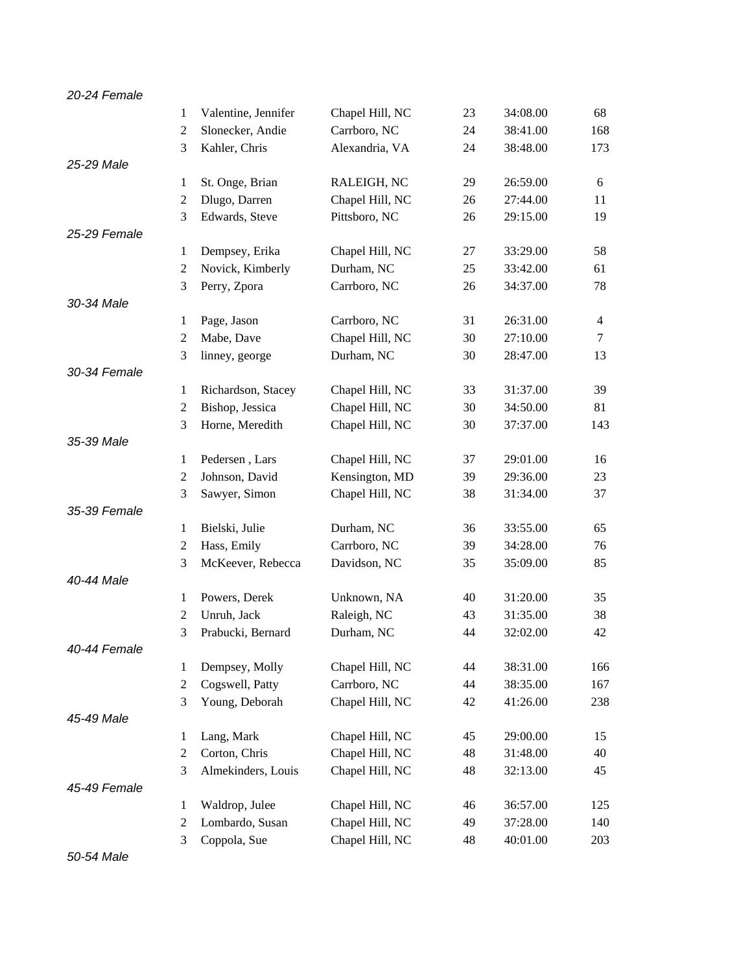| 20-24 Female |                |                     |                 |    |          |                |
|--------------|----------------|---------------------|-----------------|----|----------|----------------|
|              | 1              | Valentine, Jennifer | Chapel Hill, NC | 23 | 34:08.00 | 68             |
|              | $\overline{2}$ | Slonecker, Andie    | Carrboro, NC    | 24 | 38:41.00 | 168            |
|              | 3              | Kahler, Chris       | Alexandria, VA  | 24 | 38:48.00 | 173            |
| 25-29 Male   |                |                     |                 |    |          |                |
|              | $\mathbf{1}$   | St. Onge, Brian     | RALEIGH, NC     | 29 | 26:59.00 | 6              |
|              | $\mathbf{2}$   | Dlugo, Darren       | Chapel Hill, NC | 26 | 27:44.00 | 11             |
|              | 3              | Edwards, Steve      | Pittsboro, NC   | 26 | 29:15.00 | 19             |
| 25-29 Female |                |                     |                 |    |          |                |
|              | 1              | Dempsey, Erika      | Chapel Hill, NC | 27 | 33:29.00 | 58             |
|              | $\mathbf{2}$   | Novick, Kimberly    | Durham, NC      | 25 | 33:42.00 | 61             |
|              | 3              | Perry, Zpora        | Carrboro, NC    | 26 | 34:37.00 | 78             |
| 30-34 Male   |                |                     |                 |    |          |                |
|              | 1              | Page, Jason         | Carrboro, NC    | 31 | 26:31.00 | $\overline{4}$ |
|              | $\mathbf{2}$   | Mabe, Dave          | Chapel Hill, NC | 30 | 27:10.00 | $\tau$         |
|              | 3              | linney, george      | Durham, NC      | 30 | 28:47.00 | 13             |
| 30-34 Female |                |                     |                 |    |          |                |
|              | $\mathbf{1}$   | Richardson, Stacey  | Chapel Hill, NC | 33 | 31:37.00 | 39             |
|              | $\mathbf{2}$   | Bishop, Jessica     | Chapel Hill, NC | 30 | 34:50.00 | 81             |
|              | 3              | Horne, Meredith     | Chapel Hill, NC | 30 | 37:37.00 | 143            |
| 35-39 Male   |                |                     |                 |    |          |                |
|              | $\mathbf{1}$   | Pedersen, Lars      | Chapel Hill, NC | 37 | 29:01.00 | 16             |
|              | $\mathbf{2}$   | Johnson, David      | Kensington, MD  | 39 | 29:36.00 | 23             |
|              | 3              | Sawyer, Simon       | Chapel Hill, NC | 38 | 31:34.00 | 37             |
| 35-39 Female |                |                     |                 |    |          |                |
|              | $\mathbf{1}$   | Bielski, Julie      | Durham, NC      | 36 | 33:55.00 | 65             |
|              | $\mathbf{2}$   | Hass, Emily         | Carrboro, NC    | 39 | 34:28.00 | 76             |
|              | 3              | McKeever, Rebecca   | Davidson, NC    | 35 | 35:09.00 | 85             |
| 40-44 Male   |                |                     |                 |    |          |                |
|              | 1              | Powers, Derek       | Unknown, NA     | 40 | 31:20.00 | 35             |
|              | $\overline{2}$ | Unruh, Jack         | Raleigh, NC     | 43 | 31:35.00 | 38             |
|              | 3              | Prabucki, Bernard   | Durham, NC      | 44 | 32:02.00 | 42             |
| 40-44 Female |                |                     |                 |    |          |                |
|              | 1              | Dempsey, Molly      | Chapel Hill, NC | 44 | 38:31.00 | 166            |
|              | $\overline{2}$ | Cogswell, Patty     | Carrboro, NC    | 44 | 38:35.00 | 167            |
|              | 3              | Young, Deborah      | Chapel Hill, NC | 42 | 41:26.00 | 238            |
| 45-49 Male   |                |                     |                 |    |          |                |
|              | 1              | Lang, Mark          | Chapel Hill, NC | 45 | 29:00.00 | 15             |
|              | $\mathbf{2}$   | Corton, Chris       | Chapel Hill, NC | 48 | 31:48.00 | 40             |
|              | 3              | Almekinders, Louis  | Chapel Hill, NC | 48 | 32:13.00 | 45             |
| 45-49 Female |                |                     |                 |    |          |                |
|              | $\mathbf{1}$   | Waldrop, Julee      | Chapel Hill, NC | 46 | 36:57.00 | 125            |
|              | $\overline{2}$ | Lombardo, Susan     | Chapel Hill, NC | 49 | 37:28.00 | 140            |
|              | 3              | Coppola, Sue        | Chapel Hill, NC | 48 | 40:01.00 | 203            |

*50-54 Male*